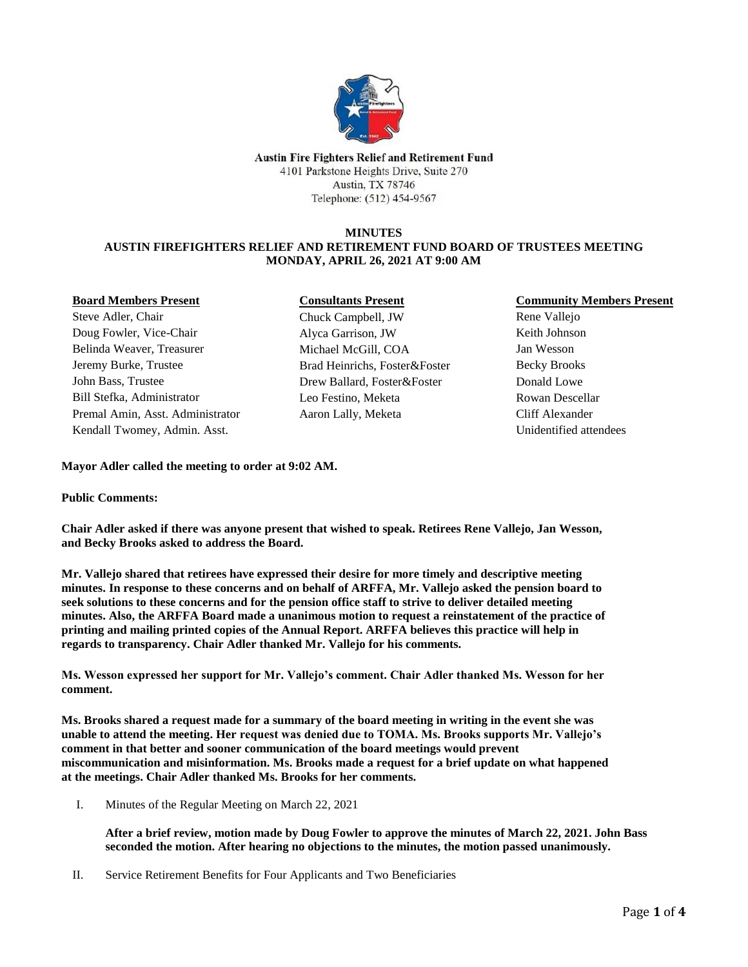

**Austin Fire Fighters Relief and Retirement Fund** 4101 Parkstone Heights Drive, Suite 270 **Austin, TX 78746** Telephone: (512) 454-9567

### **MINUTES**

# **AUSTIN FIREFIGHTERS RELIEF AND RETIREMENT FUND BOARD OF TRUSTEES MEETING MONDAY, APRIL 26, 2021 AT 9:00 AM**

### **Board Members Present**

Steve Adler, Chair Doug Fowler, Vice-Chair Belinda Weaver, Treasurer Jeremy Burke, Trustee John Bass, Trustee Bill Stefka, Administrator Premal Amin, Asst. Administrator Kendall Twomey, Admin. Asst.

### **Consultants Present**

Chuck Campbell, JW Alyca Garrison, JW Michael McGill, COA Brad Heinrichs, Foster&Foster Drew Ballard, Foster&Foster Leo Festino, Meketa Aaron Lally, Meketa

## **Community Members Present**

Rene Vallejo Keith Johnson Jan Wesson Becky Brooks Donald Lowe Rowan Descellar Cliff Alexander Unidentified attendees

**Mayor Adler called the meeting to order at 9:02 AM.**

## **Public Comments:**

**Chair Adler asked if there was anyone present that wished to speak. Retirees Rene Vallejo, Jan Wesson, and Becky Brooks asked to address the Board.**

**Mr. Vallejo shared that retirees have expressed their desire for more timely and descriptive meeting minutes. In response to these concerns and on behalf of ARFFA, Mr. Vallejo asked the pension board to seek solutions to these concerns and for the pension office staff to strive to deliver detailed meeting minutes. Also, the ARFFA Board made a unanimous motion to request a reinstatement of the practice of printing and mailing printed copies of the Annual Report. ARFFA believes this practice will help in regards to transparency. Chair Adler thanked Mr. Vallejo for his comments.**

**Ms. Wesson expressed her support for Mr. Vallejo's comment. Chair Adler thanked Ms. Wesson for her comment.**

**Ms. Brooks shared a request made for a summary of the board meeting in writing in the event she was unable to attend the meeting. Her request was denied due to TOMA. Ms. Brooks supports Mr. Vallejo's comment in that better and sooner communication of the board meetings would prevent miscommunication and misinformation. Ms. Brooks made a request for a brief update on what happened at the meetings. Chair Adler thanked Ms. Brooks for her comments.**

I. Minutes of the Regular Meeting on March 22, 2021

**After a brief review, motion made by Doug Fowler to approve the minutes of March 22, 2021. John Bass seconded the motion. After hearing no objections to the minutes, the motion passed unanimously.**

II. Service Retirement Benefits for Four Applicants and Two Beneficiaries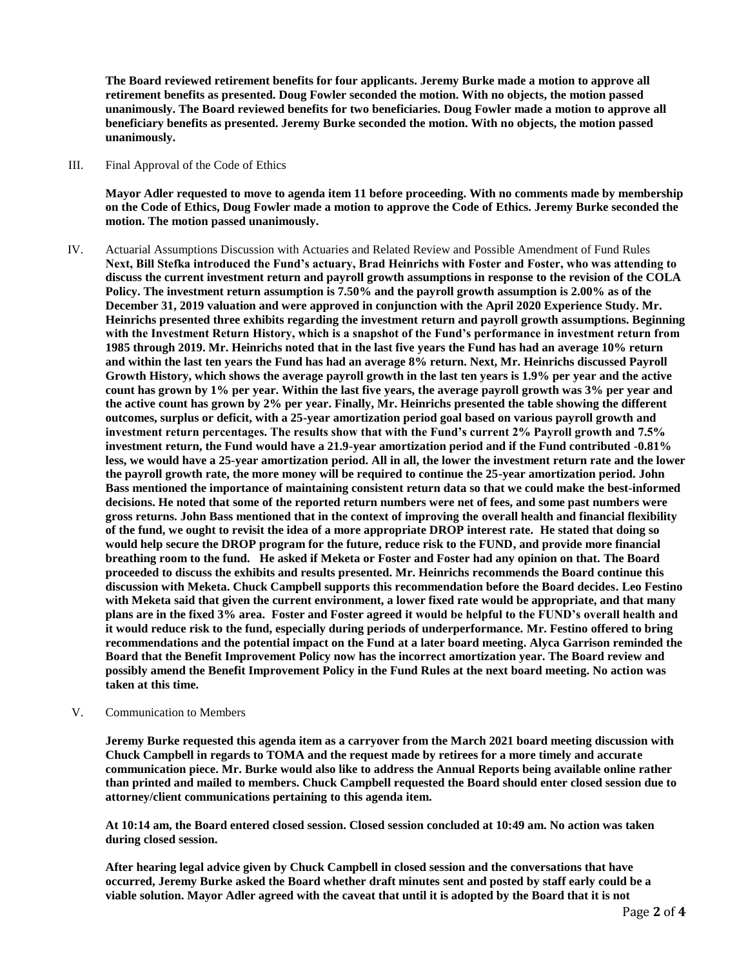**The Board reviewed retirement benefits for four applicants. Jeremy Burke made a motion to approve all retirement benefits as presented. Doug Fowler seconded the motion. With no objects, the motion passed unanimously. The Board reviewed benefits for two beneficiaries. Doug Fowler made a motion to approve all beneficiary benefits as presented. Jeremy Burke seconded the motion. With no objects, the motion passed unanimously.**

III. Final Approval of the Code of Ethics

**Mayor Adler requested to move to agenda item 11 before proceeding. With no comments made by membership on the Code of Ethics, Doug Fowler made a motion to approve the Code of Ethics. Jeremy Burke seconded the motion. The motion passed unanimously.**

- IV. Actuarial Assumptions Discussion with Actuaries and Related Review and Possible Amendment of Fund Rules **Next, Bill Stefka introduced the Fund's actuary, Brad Heinrichs with Foster and Foster, who was attending to discuss the current investment return and payroll growth assumptions in response to the revision of the COLA Policy. The investment return assumption is 7.50% and the payroll growth assumption is 2.00% as of the December 31, 2019 valuation and were approved in conjunction with the April 2020 Experience Study. Mr. Heinrichs presented three exhibits regarding the investment return and payroll growth assumptions. Beginning with the Investment Return History, which is a snapshot of the Fund's performance in investment return from 1985 through 2019. Mr. Heinrichs noted that in the last five years the Fund has had an average 10% return and within the last ten years the Fund has had an average 8% return. Next, Mr. Heinrichs discussed Payroll Growth History, which shows the average payroll growth in the last ten years is 1.9% per year and the active count has grown by 1% per year. Within the last five years, the average payroll growth was 3% per year and the active count has grown by 2% per year. Finally, Mr. Heinrichs presented the table showing the different outcomes, surplus or deficit, with a 25-year amortization period goal based on various payroll growth and investment return percentages. The results show that with the Fund's current 2% Payroll growth and 7.5% investment return, the Fund would have a 21.9-year amortization period and if the Fund contributed -0.81% less, we would have a 25-year amortization period. All in all, the lower the investment return rate and the lower the payroll growth rate, the more money will be required to continue the 25-year amortization period. John Bass mentioned the importance of maintaining consistent return data so that we could make the best-informed decisions. He noted that some of the reported return numbers were net of fees, and some past numbers were gross returns. John Bass mentioned that in the context of improving the overall health and financial flexibility of the fund, we ought to revisit the idea of a more appropriate DROP interest rate. He stated that doing so would help secure the DROP program for the future, reduce risk to the FUND, and provide more financial breathing room to the fund. He asked if Meketa or Foster and Foster had any opinion on that. The Board proceeded to discuss the exhibits and results presented. Mr. Heinrichs recommends the Board continue this discussion with Meketa. Chuck Campbell supports this recommendation before the Board decides. Leo Festino with Meketa said that given the current environment, a lower fixed rate would be appropriate, and that many plans are in the fixed 3% area. Foster and Foster agreed it would be helpful to the FUND's overall health and it would reduce risk to the fund, especially during periods of underperformance. Mr. Festino offered to bring recommendations and the potential impact on the Fund at a later board meeting. Alyca Garrison reminded the Board that the Benefit Improvement Policy now has the incorrect amortization year. The Board review and possibly amend the Benefit Improvement Policy in the Fund Rules at the next board meeting. No action was taken at this time.**
- V. Communication to Members

**Jeremy Burke requested this agenda item as a carryover from the March 2021 board meeting discussion with Chuck Campbell in regards to TOMA and the request made by retirees for a more timely and accurate communication piece. Mr. Burke would also like to address the Annual Reports being available online rather than printed and mailed to members. Chuck Campbell requested the Board should enter closed session due to attorney/client communications pertaining to this agenda item.** 

**At 10:14 am, the Board entered closed session. Closed session concluded at 10:49 am. No action was taken during closed session.**

**After hearing legal advice given by Chuck Campbell in closed session and the conversations that have occurred, Jeremy Burke asked the Board whether draft minutes sent and posted by staff early could be a viable solution. Mayor Adler agreed with the caveat that until it is adopted by the Board that it is not**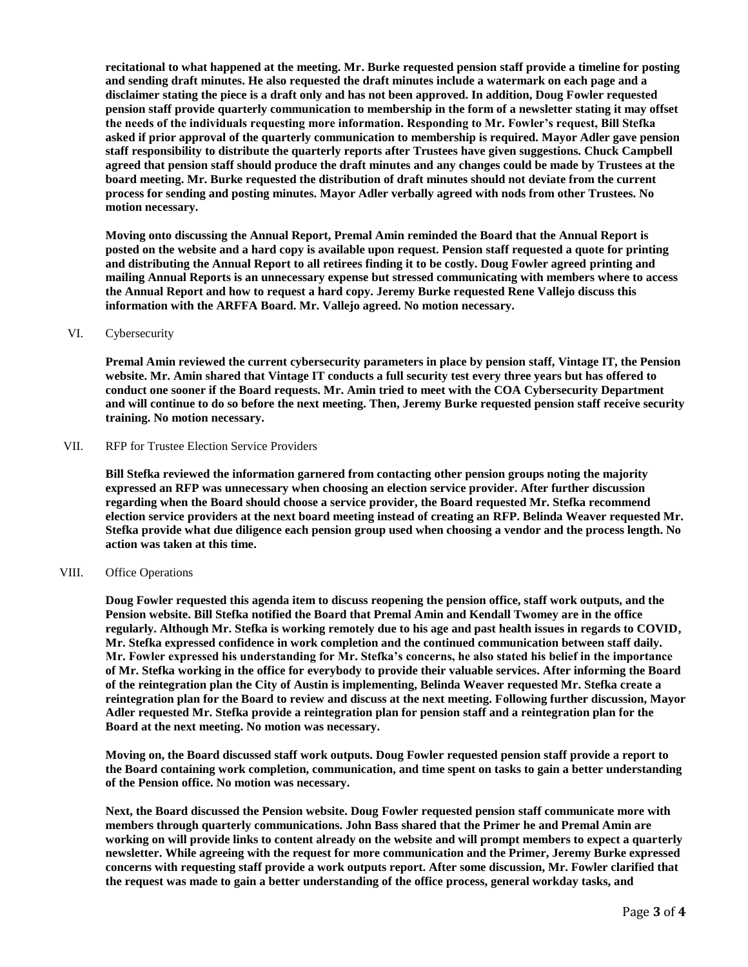**recitational to what happened at the meeting. Mr. Burke requested pension staff provide a timeline for posting and sending draft minutes. He also requested the draft minutes include a watermark on each page and a disclaimer stating the piece is a draft only and has not been approved. In addition, Doug Fowler requested pension staff provide quarterly communication to membership in the form of a newsletter stating it may offset the needs of the individuals requesting more information. Responding to Mr. Fowler's request, Bill Stefka asked if prior approval of the quarterly communication to membership is required. Mayor Adler gave pension staff responsibility to distribute the quarterly reports after Trustees have given suggestions. Chuck Campbell agreed that pension staff should produce the draft minutes and any changes could be made by Trustees at the board meeting. Mr. Burke requested the distribution of draft minutes should not deviate from the current process for sending and posting minutes. Mayor Adler verbally agreed with nods from other Trustees. No motion necessary.**

**Moving onto discussing the Annual Report, Premal Amin reminded the Board that the Annual Report is posted on the website and a hard copy is available upon request. Pension staff requested a quote for printing and distributing the Annual Report to all retirees finding it to be costly. Doug Fowler agreed printing and mailing Annual Reports is an unnecessary expense but stressed communicating with members where to access the Annual Report and how to request a hard copy. Jeremy Burke requested Rene Vallejo discuss this information with the ARFFA Board. Mr. Vallejo agreed. No motion necessary.**

#### VI. Cybersecurity

**Premal Amin reviewed the current cybersecurity parameters in place by pension staff, Vintage IT, the Pension website. Mr. Amin shared that Vintage IT conducts a full security test every three years but has offered to conduct one sooner if the Board requests. Mr. Amin tried to meet with the COA Cybersecurity Department and will continue to do so before the next meeting. Then, Jeremy Burke requested pension staff receive security training. No motion necessary.**

### VII. RFP for Trustee Election Service Providers

**Bill Stefka reviewed the information garnered from contacting other pension groups noting the majority expressed an RFP was unnecessary when choosing an election service provider. After further discussion regarding when the Board should choose a service provider, the Board requested Mr. Stefka recommend election service providers at the next board meeting instead of creating an RFP. Belinda Weaver requested Mr. Stefka provide what due diligence each pension group used when choosing a vendor and the process length. No action was taken at this time.**

### VIII. Office Operations

**Doug Fowler requested this agenda item to discuss reopening the pension office, staff work outputs, and the Pension website. Bill Stefka notified the Board that Premal Amin and Kendall Twomey are in the office regularly. Although Mr. Stefka is working remotely due to his age and past health issues in regards to COVID, Mr. Stefka expressed confidence in work completion and the continued communication between staff daily. Mr. Fowler expressed his understanding for Mr. Stefka's concerns, he also stated his belief in the importance of Mr. Stefka working in the office for everybody to provide their valuable services. After informing the Board of the reintegration plan the City of Austin is implementing, Belinda Weaver requested Mr. Stefka create a reintegration plan for the Board to review and discuss at the next meeting. Following further discussion, Mayor Adler requested Mr. Stefka provide a reintegration plan for pension staff and a reintegration plan for the Board at the next meeting. No motion was necessary.**

**Moving on, the Board discussed staff work outputs. Doug Fowler requested pension staff provide a report to the Board containing work completion, communication, and time spent on tasks to gain a better understanding of the Pension office. No motion was necessary.**

**Next, the Board discussed the Pension website. Doug Fowler requested pension staff communicate more with members through quarterly communications. John Bass shared that the Primer he and Premal Amin are working on will provide links to content already on the website and will prompt members to expect a quarterly newsletter. While agreeing with the request for more communication and the Primer, Jeremy Burke expressed concerns with requesting staff provide a work outputs report. After some discussion, Mr. Fowler clarified that the request was made to gain a better understanding of the office process, general workday tasks, and**